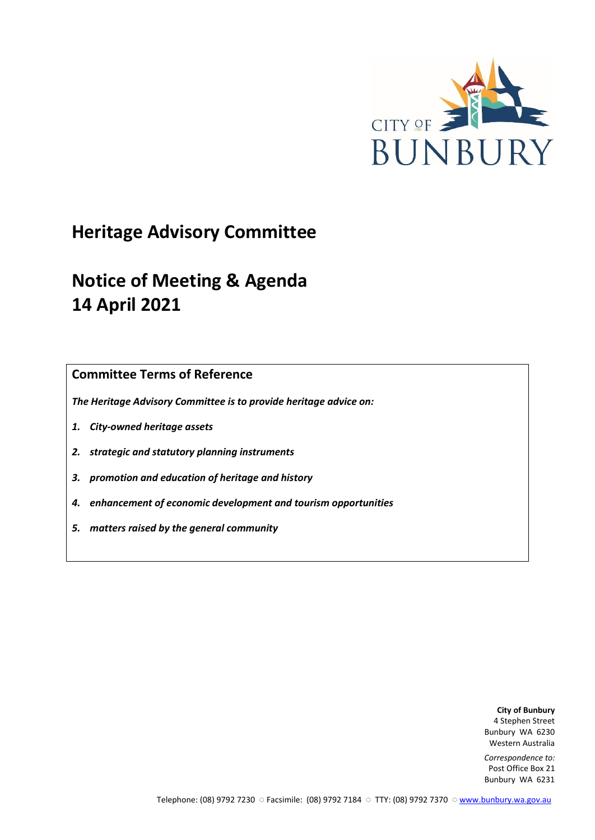

# **Heritage Advisory Committee**

# **Notice of Meeting & Agenda 14 April 2021**

**Committee Terms of Reference**

*The Heritage Advisory Committee is to provide heritage advice on:*

- *1. City-owned heritage assets*
- *2. strategic and statutory planning instruments*
- *3. promotion and education of heritage and history*
- *4. enhancement of economic development and tourism opportunities*
- *5. matters raised by the general community*

**City of Bunbury** 4 Stephen Street Bunbury WA 6230 Western Australia

*Correspondence to:* Post Office Box 21 Bunbury WA 6231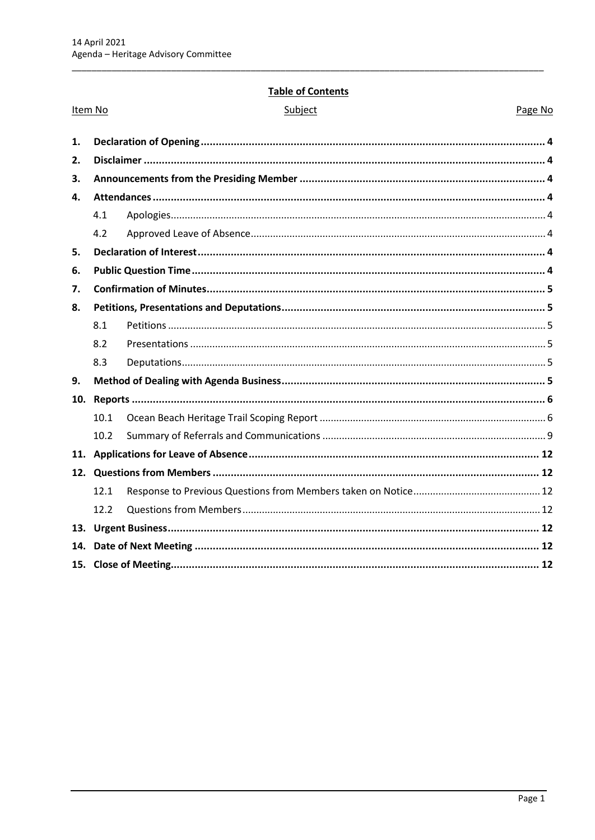Item No

## **Table of Contents**

| unie |  |
|------|--|
|------|--|

Page No

| 1.  |      |  |  |
|-----|------|--|--|
| 2.  |      |  |  |
| 3.  |      |  |  |
| 4.  |      |  |  |
|     | 4.1  |  |  |
|     | 4.2  |  |  |
| 5.  |      |  |  |
| 6.  |      |  |  |
| 7.  |      |  |  |
| 8.  |      |  |  |
|     | 8.1  |  |  |
|     | 8.2  |  |  |
|     | 8.3  |  |  |
| 9.  |      |  |  |
| 10. |      |  |  |
|     | 10.1 |  |  |
|     | 10.2 |  |  |
| 11. |      |  |  |
|     |      |  |  |
|     | 12.1 |  |  |
|     | 12.2 |  |  |
| 13. |      |  |  |
| 14. |      |  |  |
|     |      |  |  |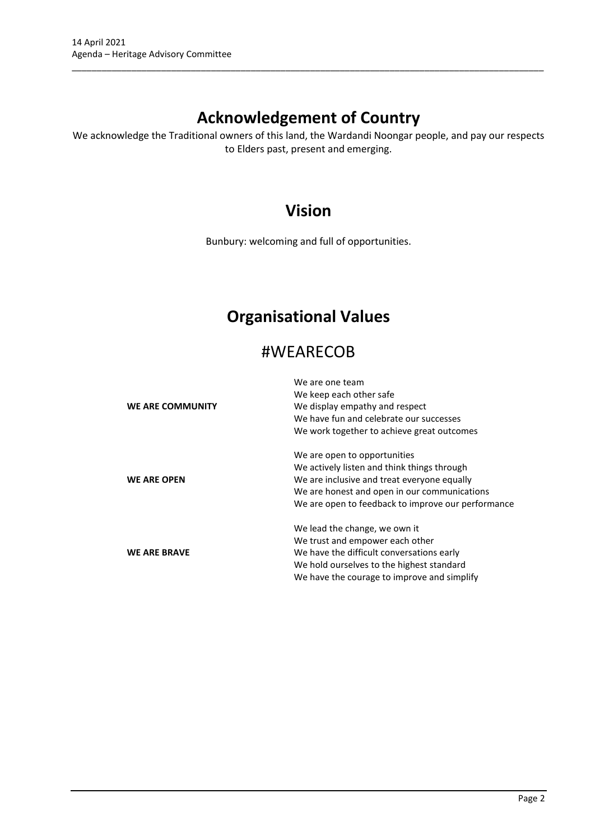# **Acknowledgement of Country**

\_\_\_\_\_\_\_\_\_\_\_\_\_\_\_\_\_\_\_\_\_\_\_\_\_\_\_\_\_\_\_\_\_\_\_\_\_\_\_\_\_\_\_\_\_\_\_\_\_\_\_\_\_\_\_\_\_\_\_\_\_\_\_\_\_\_\_\_\_\_\_\_\_\_\_\_\_\_\_\_\_\_\_\_\_\_\_\_\_\_\_\_\_\_\_

We acknowledge the Traditional owners of this land, the Wardandi Noongar people, and pay our respects to Elders past, present and emerging.

# **Vision**

Bunbury: welcoming and full of opportunities.

# **Organisational Values**

# #WEARECOB

|                     | We are one team                                    |
|---------------------|----------------------------------------------------|
|                     | We keep each other safe                            |
| WE ARE COMMUNITY    | We display empathy and respect                     |
|                     | We have fun and celebrate our successes            |
|                     | We work together to achieve great outcomes         |
|                     | We are open to opportunities                       |
|                     | We actively listen and think things through        |
| <b>WE ARE OPEN</b>  | We are inclusive and treat everyone equally        |
|                     | We are honest and open in our communications       |
|                     | We are open to feedback to improve our performance |
|                     | We lead the change, we own it                      |
|                     | We trust and empower each other                    |
| <b>WE ARE BRAVE</b> | We have the difficult conversations early          |
|                     | We hold ourselves to the highest standard          |
|                     | We have the courage to improve and simplify        |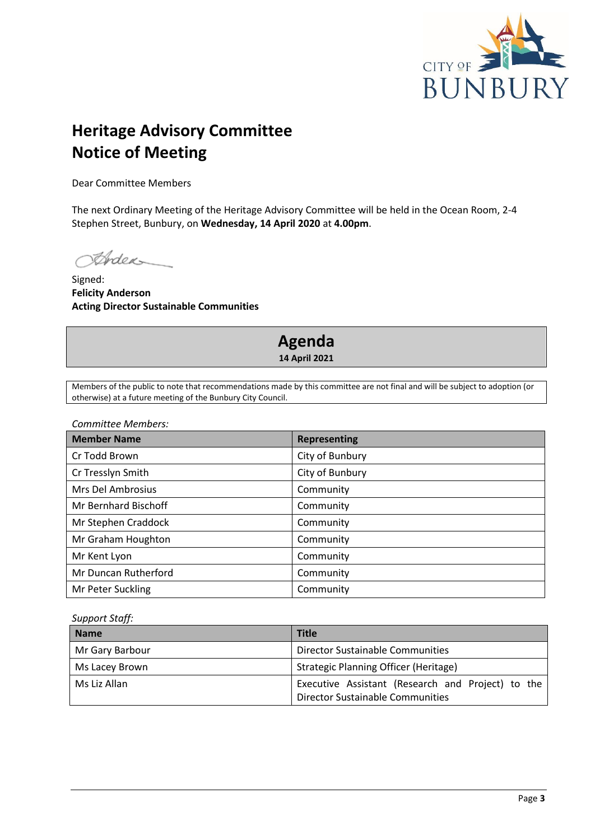

# **Heritage Advisory Committee Notice of Meeting**

Dear Committee Members

The next Ordinary Meeting of the Heritage Advisory Committee will be held in the Ocean Room, 2-4 Stephen Street, Bunbury, on **Wednesday, 14 April 2020** at **4.00pm**.

Ander

Signed: **Felicity Anderson Acting Director Sustainable Communities**

# **Agenda 14 April 2021**

Members of the public to note that recommendations made by this committee are not final and will be subject to adoption (or otherwise) at a future meeting of the Bunbury City Council.

*Committee Members:*

| <b>Member Name</b>   | <b>Representing</b> |
|----------------------|---------------------|
| Cr Todd Brown        | City of Bunbury     |
| Cr Tresslyn Smith    | City of Bunbury     |
| Mrs Del Ambrosius    | Community           |
| Mr Bernhard Bischoff | Community           |
| Mr Stephen Craddock  | Community           |
| Mr Graham Houghton   | Community           |
| Mr Kent Lyon         | Community           |
| Mr Duncan Rutherford | Community           |
| Mr Peter Suckling    | Community           |

*Support Staff:*

| <b>Name</b>     | <b>Title</b>                                                                                 |
|-----------------|----------------------------------------------------------------------------------------------|
| Mr Gary Barbour | Director Sustainable Communities                                                             |
| Ms Lacey Brown  | Strategic Planning Officer (Heritage)                                                        |
| Ms Liz Allan    | Executive Assistant (Research and Project) to the<br><b>Director Sustainable Communities</b> |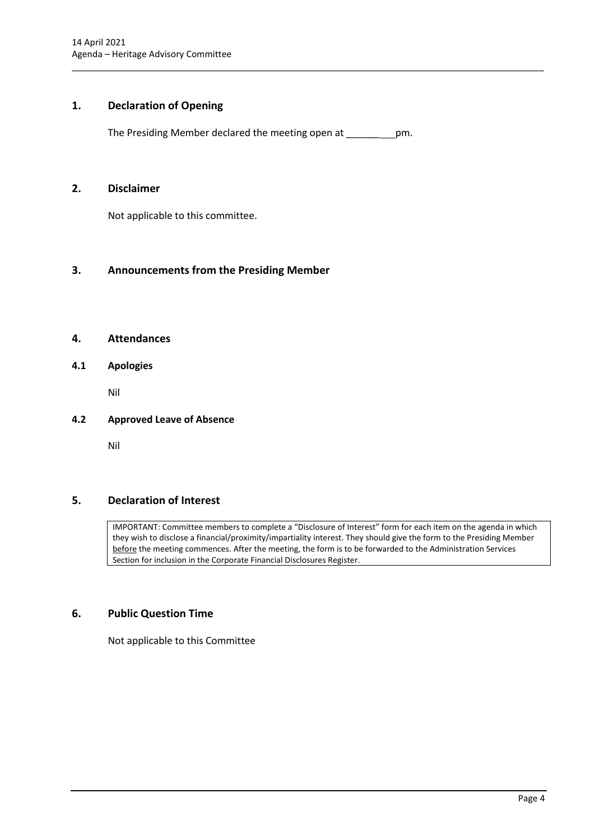# <span id="page-4-0"></span>**1. Declaration of Opening**

The Presiding Member declared the meeting open at \_\_\_\_\_\_ pm.

\_\_\_\_\_\_\_\_\_\_\_\_\_\_\_\_\_\_\_\_\_\_\_\_\_\_\_\_\_\_\_\_\_\_\_\_\_\_\_\_\_\_\_\_\_\_\_\_\_\_\_\_\_\_\_\_\_\_\_\_\_\_\_\_\_\_\_\_\_\_\_\_\_\_\_\_\_\_\_\_\_\_\_\_\_\_\_\_\_\_\_\_\_\_\_

#### <span id="page-4-1"></span>**2. Disclaimer**

Not applicable to this committee.

# <span id="page-4-2"></span>**3. Announcements from the Presiding Member**

# <span id="page-4-3"></span>**4. Attendances**

## <span id="page-4-4"></span>**4.1 Apologies**

Nil

#### <span id="page-4-5"></span>**4.2 Approved Leave of Absence**

Nil

# <span id="page-4-6"></span>**5. Declaration of Interest**

IMPORTANT: Committee members to complete a "Disclosure of Interest" form for each item on the agenda in which they wish to disclose a financial/proximity/impartiality interest. They should give the form to the Presiding Member before the meeting commences. After the meeting, the form is to be forwarded to the Administration Services Section for inclusion in the Corporate Financial Disclosures Register.

# <span id="page-4-7"></span>**6. Public Question Time**

Not applicable to this Committee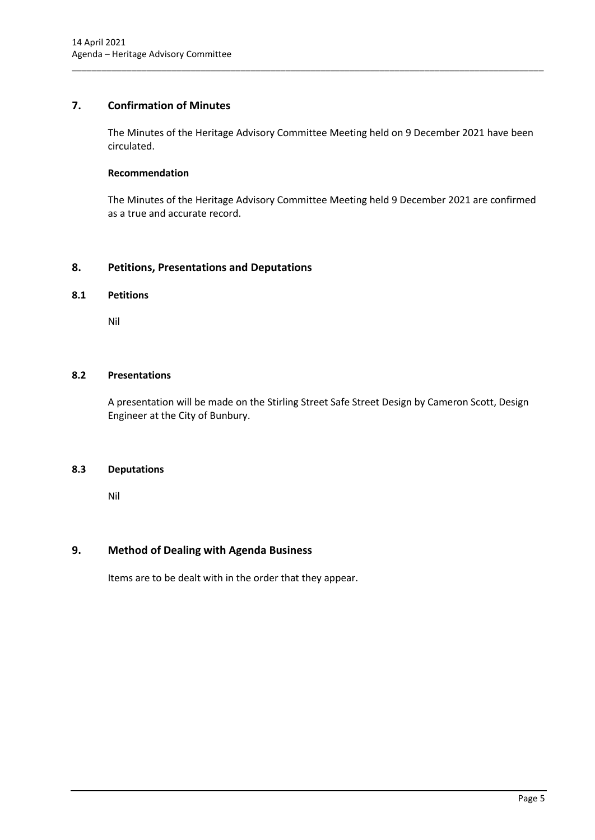# <span id="page-5-0"></span>**7. Confirmation of Minutes**

The Minutes of the Heritage Advisory Committee Meeting held on 9 December 2021 have been circulated.

\_\_\_\_\_\_\_\_\_\_\_\_\_\_\_\_\_\_\_\_\_\_\_\_\_\_\_\_\_\_\_\_\_\_\_\_\_\_\_\_\_\_\_\_\_\_\_\_\_\_\_\_\_\_\_\_\_\_\_\_\_\_\_\_\_\_\_\_\_\_\_\_\_\_\_\_\_\_\_\_\_\_\_\_\_\_\_\_\_\_\_\_\_\_\_

# **Recommendation**

The Minutes of the Heritage Advisory Committee Meeting held 9 December 2021 are confirmed as a true and accurate record.

# <span id="page-5-1"></span>**8. Petitions, Presentations and Deputations**

#### <span id="page-5-2"></span>**8.1 Petitions**

Nil

#### <span id="page-5-3"></span>**8.2 Presentations**

A presentation will be made on the Stirling Street Safe Street Design by Cameron Scott, Design Engineer at the City of Bunbury.

#### <span id="page-5-4"></span>**8.3 Deputations**

Nil

#### <span id="page-5-5"></span>**9. Method of Dealing with Agenda Business**

Items are to be dealt with in the order that they appear.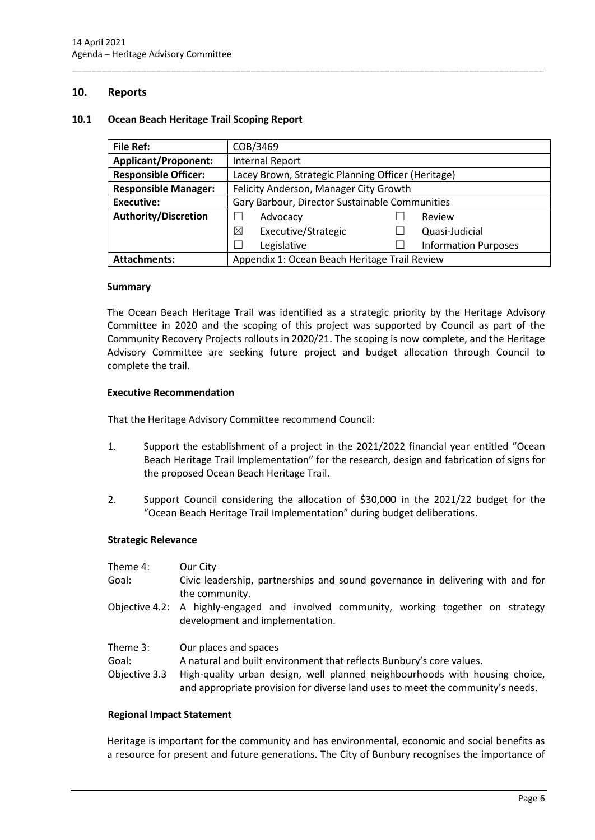## <span id="page-6-0"></span>**10. Reports**

#### <span id="page-6-1"></span>**10.1 Ocean Beach Heritage Trail Scoping Report**

| <b>File Ref:</b>            | COB/3469                                           |  |                             |
|-----------------------------|----------------------------------------------------|--|-----------------------------|
| <b>Applicant/Proponent:</b> | <b>Internal Report</b>                             |  |                             |
| <b>Responsible Officer:</b> | Lacey Brown, Strategic Planning Officer (Heritage) |  |                             |
| <b>Responsible Manager:</b> | Felicity Anderson, Manager City Growth             |  |                             |
| Executive:                  | Gary Barbour, Director Sustainable Communities     |  |                             |
| <b>Authority/Discretion</b> | Advocacy                                           |  | Review                      |
|                             | ⊠<br>Executive/Strategic                           |  | Quasi-Judicial              |
|                             | Legislative                                        |  | <b>Information Purposes</b> |
| <b>Attachments:</b>         | Appendix 1: Ocean Beach Heritage Trail Review      |  |                             |

\_\_\_\_\_\_\_\_\_\_\_\_\_\_\_\_\_\_\_\_\_\_\_\_\_\_\_\_\_\_\_\_\_\_\_\_\_\_\_\_\_\_\_\_\_\_\_\_\_\_\_\_\_\_\_\_\_\_\_\_\_\_\_\_\_\_\_\_\_\_\_\_\_\_\_\_\_\_\_\_\_\_\_\_\_\_\_\_\_\_\_\_\_\_\_

#### **Summary**

The Ocean Beach Heritage Trail was identified as a strategic priority by the Heritage Advisory Committee in 2020 and the scoping of this project was supported by Council as part of the Community Recovery Projects rollouts in 2020/21. The scoping is now complete, and the Heritage Advisory Committee are seeking future project and budget allocation through Council to complete the trail.

#### **Executive Recommendation**

That the Heritage Advisory Committee recommend Council:

- 1. Support the establishment of a project in the 2021/2022 financial year entitled "Ocean Beach Heritage Trail Implementation" for the research, design and fabrication of signs for the proposed Ocean Beach Heritage Trail.
- 2. Support Council considering the allocation of \$30,000 in the 2021/22 budget for the "Ocean Beach Heritage Trail Implementation" during budget deliberations.

#### **Strategic Relevance**

- Theme 4: Our City
- Goal: Civic leadership, partnerships and sound governance in delivering with and for the community.
- Objective 4.2: A highly-engaged and involved community, working together on strategy development and implementation.
- Theme 3: Our places and spaces
- Goal: A natural and built environment that reflects Bunbury's core values.
- Objective 3.3 High-quality urban design, well planned neighbourhoods with housing choice, and appropriate provision for diverse land uses to meet the community's needs.

#### **Regional Impact Statement**

Heritage is important for the community and has environmental, economic and social benefits as a resource for present and future generations. The City of Bunbury recognises the importance of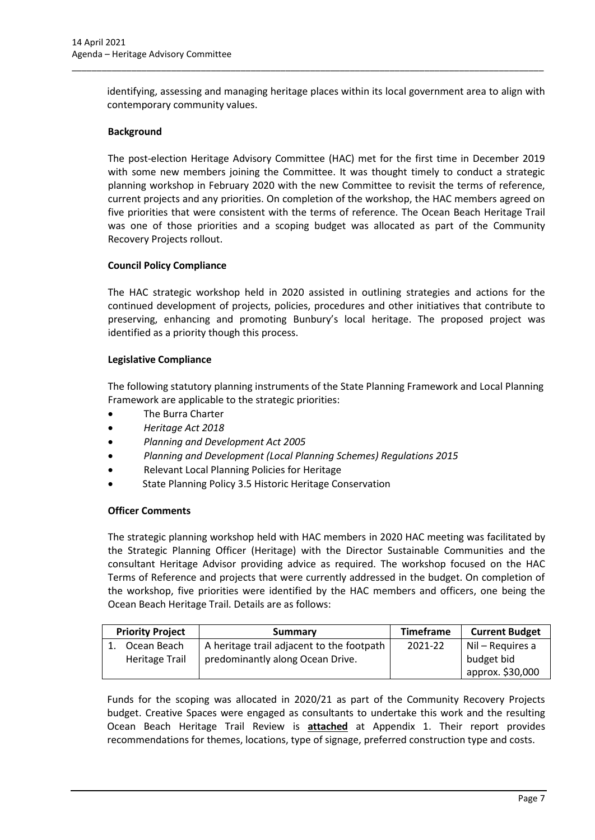identifying, assessing and managing heritage places within its local government area to align with contemporary community values.

\_\_\_\_\_\_\_\_\_\_\_\_\_\_\_\_\_\_\_\_\_\_\_\_\_\_\_\_\_\_\_\_\_\_\_\_\_\_\_\_\_\_\_\_\_\_\_\_\_\_\_\_\_\_\_\_\_\_\_\_\_\_\_\_\_\_\_\_\_\_\_\_\_\_\_\_\_\_\_\_\_\_\_\_\_\_\_\_\_\_\_\_\_\_\_

### **Background**

The post-election Heritage Advisory Committee (HAC) met for the first time in December 2019 with some new members joining the Committee. It was thought timely to conduct a strategic planning workshop in February 2020 with the new Committee to revisit the terms of reference, current projects and any priorities. On completion of the workshop, the HAC members agreed on five priorities that were consistent with the terms of reference. The Ocean Beach Heritage Trail was one of those priorities and a scoping budget was allocated as part of the Community Recovery Projects rollout.

### **Council Policy Compliance**

The HAC strategic workshop held in 2020 assisted in outlining strategies and actions for the continued development of projects, policies, procedures and other initiatives that contribute to preserving, enhancing and promoting Bunbury's local heritage. The proposed project was identified as a priority though this process.

#### **Legislative Compliance**

The following statutory planning instruments of the State Planning Framework and Local Planning Framework are applicable to the strategic priorities:

- The Burra Charter
- *Heritage Act 2018*
- *Planning and Development Act 2005*
- *Planning and Development (Local Planning Schemes) Regulations 2015*
- Relevant Local Planning Policies for Heritage
- State Planning Policy 3.5 Historic Heritage Conservation

#### **Officer Comments**

The strategic planning workshop held with HAC members in 2020 HAC meeting was facilitated by the Strategic Planning Officer (Heritage) with the Director Sustainable Communities and the consultant Heritage Advisor providing advice as required. The workshop focused on the HAC Terms of Reference and projects that were currently addressed in the budget. On completion of the workshop, five priorities were identified by the HAC members and officers, one being the Ocean Beach Heritage Trail. Details are as follows:

| <b>Priority Project</b> |                | Summary                                   | <b>Timeframe</b> | <b>Current Budget</b> |
|-------------------------|----------------|-------------------------------------------|------------------|-----------------------|
|                         | Ocean Beach    | A heritage trail adjacent to the footpath | 2021-22          | Nil – Requires a      |
|                         | Heritage Trail | predominantly along Ocean Drive.          |                  | budget bid            |
|                         |                |                                           |                  | approx. \$30,000      |

Funds for the scoping was allocated in 2020/21 as part of the Community Recovery Projects budget. Creative Spaces were engaged as consultants to undertake this work and the resulting Ocean Beach Heritage Trail Review is **attached** at Appendix 1. Their report provides recommendations for themes, locations, type of signage, preferred construction type and costs.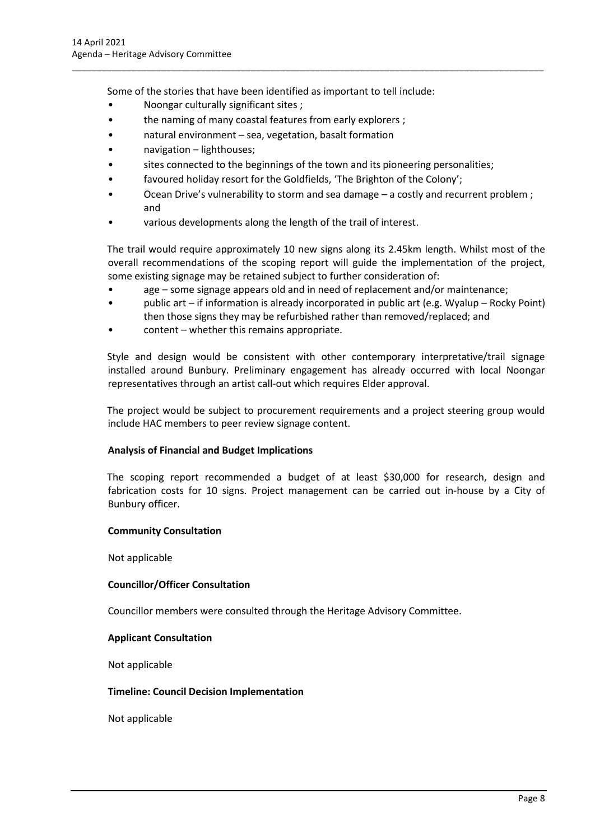Some of the stories that have been identified as important to tell include:

- Noongar culturally significant sites ;
- the naming of many coastal features from early explorers ;
- natural environment sea, vegetation, basalt formation
- navigation lighthouses;
- sites connected to the beginnings of the town and its pioneering personalities;

\_\_\_\_\_\_\_\_\_\_\_\_\_\_\_\_\_\_\_\_\_\_\_\_\_\_\_\_\_\_\_\_\_\_\_\_\_\_\_\_\_\_\_\_\_\_\_\_\_\_\_\_\_\_\_\_\_\_\_\_\_\_\_\_\_\_\_\_\_\_\_\_\_\_\_\_\_\_\_\_\_\_\_\_\_\_\_\_\_\_\_\_\_\_\_

- favoured holiday resort for the Goldfields, 'The Brighton of the Colony';
- Ocean Drive's vulnerability to storm and sea damage a costly and recurrent problem ; and
- various developments along the length of the trail of interest.

The trail would require approximately 10 new signs along its 2.45km length. Whilst most of the overall recommendations of the scoping report will guide the implementation of the project, some existing signage may be retained subject to further consideration of:

- age some signage appears old and in need of replacement and/or maintenance;
- public art if information is already incorporated in public art (e.g. Wyalup Rocky Point) then those signs they may be refurbished rather than removed/replaced; and
- content whether this remains appropriate.

Style and design would be consistent with other contemporary interpretative/trail signage installed around Bunbury. Preliminary engagement has already occurred with local Noongar representatives through an artist call-out which requires Elder approval.

The project would be subject to procurement requirements and a project steering group would include HAC members to peer review signage content.

# **Analysis of Financial and Budget Implications**

The scoping report recommended a budget of at least \$30,000 for research, design and fabrication costs for 10 signs. Project management can be carried out in-house by a City of Bunbury officer.

#### **Community Consultation**

Not applicable

#### **Councillor/Officer Consultation**

Councillor members were consulted through the Heritage Advisory Committee.

#### **Applicant Consultation**

Not applicable

#### **Timeline: Council Decision Implementation**

Not applicable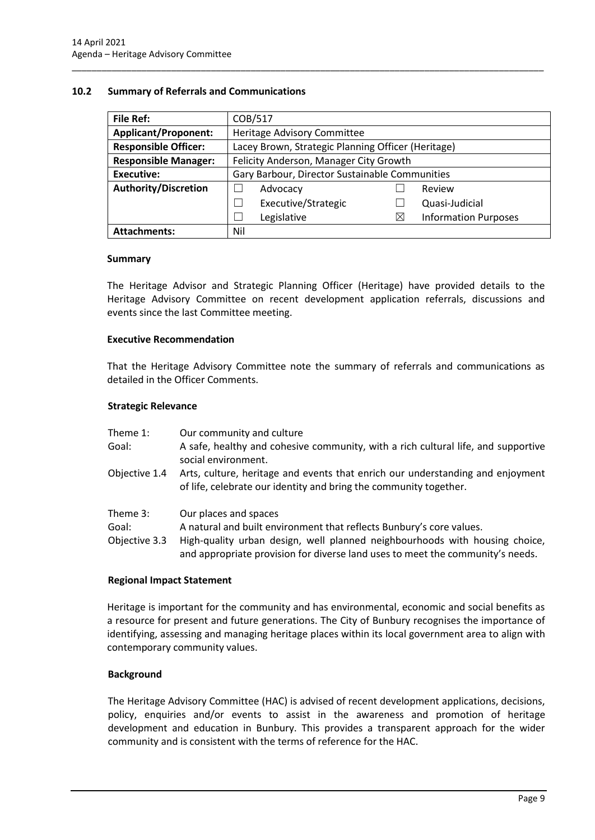#### <span id="page-9-0"></span>**10.2 Summary of Referrals and Communications**

| <b>File Ref:</b>            | COB/517                                            |   |                             |
|-----------------------------|----------------------------------------------------|---|-----------------------------|
| <b>Applicant/Proponent:</b> | Heritage Advisory Committee                        |   |                             |
| <b>Responsible Officer:</b> | Lacey Brown, Strategic Planning Officer (Heritage) |   |                             |
| <b>Responsible Manager:</b> | Felicity Anderson, Manager City Growth             |   |                             |
| <b>Executive:</b>           | Gary Barbour, Director Sustainable Communities     |   |                             |
| <b>Authority/Discretion</b> | Advocacy                                           |   | Review                      |
|                             | Executive/Strategic                                |   | Quasi-Judicial              |
|                             | Legislative                                        | Χ | <b>Information Purposes</b> |
| <b>Attachments:</b>         | Nil                                                |   |                             |

\_\_\_\_\_\_\_\_\_\_\_\_\_\_\_\_\_\_\_\_\_\_\_\_\_\_\_\_\_\_\_\_\_\_\_\_\_\_\_\_\_\_\_\_\_\_\_\_\_\_\_\_\_\_\_\_\_\_\_\_\_\_\_\_\_\_\_\_\_\_\_\_\_\_\_\_\_\_\_\_\_\_\_\_\_\_\_\_\_\_\_\_\_\_\_

#### **Summary**

The Heritage Advisor and Strategic Planning Officer (Heritage) have provided details to the Heritage Advisory Committee on recent development application referrals, discussions and events since the last Committee meeting.

#### **Executive Recommendation**

That the Heritage Advisory Committee note the summary of referrals and communications as detailed in the Officer Comments.

#### **Strategic Relevance**

| Theme 1:                           | Our community and culture                                                                                                                                                    |
|------------------------------------|------------------------------------------------------------------------------------------------------------------------------------------------------------------------------|
| Goal:                              | A safe, healthy and cohesive community, with a rich cultural life, and supportive<br>social environment.                                                                     |
| Objective 1.4                      | Arts, culture, heritage and events that enrich our understanding and enjoyment<br>of life, celebrate our identity and bring the community together.                          |
| Theme 3:<br>Goal:<br>Objective 3.3 | Our places and spaces<br>A natural and built environment that reflects Bunbury's core values.<br>High-quality urban design, well planned neighbourhoods with housing choice, |
|                                    | and appropriate provision for diverse land uses to meet the community's needs.                                                                                               |

#### **Regional Impact Statement**

Heritage is important for the community and has environmental, economic and social benefits as a resource for present and future generations. The City of Bunbury recognises the importance of identifying, assessing and managing heritage places within its local government area to align with contemporary community values.

#### **Background**

The Heritage Advisory Committee (HAC) is advised of recent development applications, decisions, policy, enquiries and/or events to assist in the awareness and promotion of heritage development and education in Bunbury. This provides a transparent approach for the wider community and is consistent with the terms of reference for the HAC.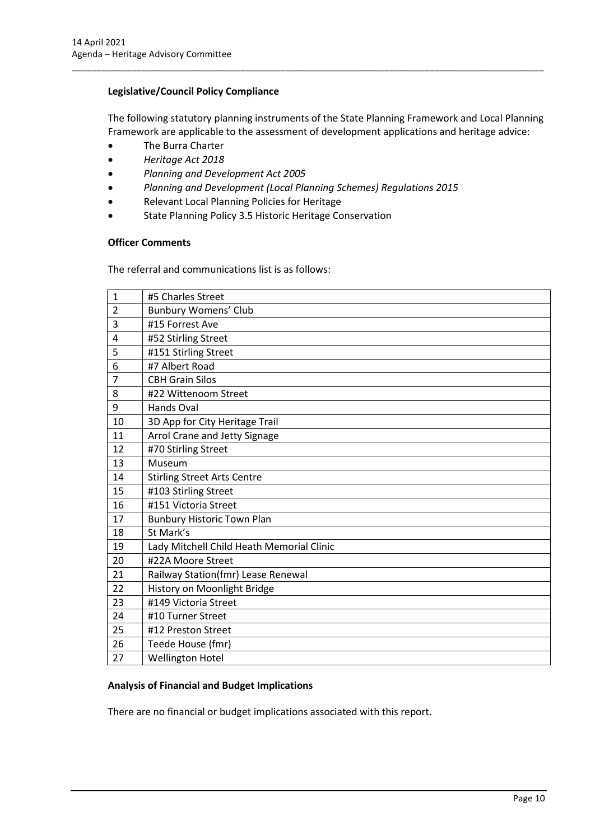## **Legislative/Council Policy Compliance**

The following statutory planning instruments of the State Planning Framework and Local Planning Framework are applicable to the assessment of development applications and heritage advice:

\_\_\_\_\_\_\_\_\_\_\_\_\_\_\_\_\_\_\_\_\_\_\_\_\_\_\_\_\_\_\_\_\_\_\_\_\_\_\_\_\_\_\_\_\_\_\_\_\_\_\_\_\_\_\_\_\_\_\_\_\_\_\_\_\_\_\_\_\_\_\_\_\_\_\_\_\_\_\_\_\_\_\_\_\_\_\_\_\_\_\_\_\_\_\_

- The Burra Charter
- *Heritage Act 2018*
- *Planning and Development Act 2005*
- *Planning and Development (Local Planning Schemes) Regulations 2015*
- Relevant Local Planning Policies for Heritage
- State Planning Policy 3.5 Historic Heritage Conservation

#### **Officer Comments**

The referral and communications list is as follows:

| $\mathbf{1}$   | #5 Charles Street                         |
|----------------|-------------------------------------------|
| $\overline{2}$ | <b>Bunbury Womens' Club</b>               |
| 3              | #15 Forrest Ave                           |
| 4              | #52 Stirling Street                       |
| 5              | #151 Stirling Street                      |
| 6              | #7 Albert Road                            |
| 7              | <b>CBH Grain Silos</b>                    |
| 8              | #22 Wittenoom Street                      |
| 9              | <b>Hands Oval</b>                         |
| 10             | 3D App for City Heritage Trail            |
| 11             | Arrol Crane and Jetty Signage             |
| 12             | #70 Stirling Street                       |
| 13             | Museum                                    |
| 14             | <b>Stirling Street Arts Centre</b>        |
| 15             | #103 Stirling Street                      |
| 16             | #151 Victoria Street                      |
| 17             | <b>Bunbury Historic Town Plan</b>         |
| 18             | St Mark's                                 |
| 19             | Lady Mitchell Child Heath Memorial Clinic |
| 20             | #22A Moore Street                         |
| 21             | Railway Station(fmr) Lease Renewal        |
| 22             | History on Moonlight Bridge               |
| 23             | #149 Victoria Street                      |
| 24             | #10 Turner Street                         |
| 25             | #12 Preston Street                        |
| 26             | Teede House (fmr)                         |
| 27             | <b>Wellington Hotel</b>                   |

#### **Analysis of Financial and Budget Implications**

There are no financial or budget implications associated with this report.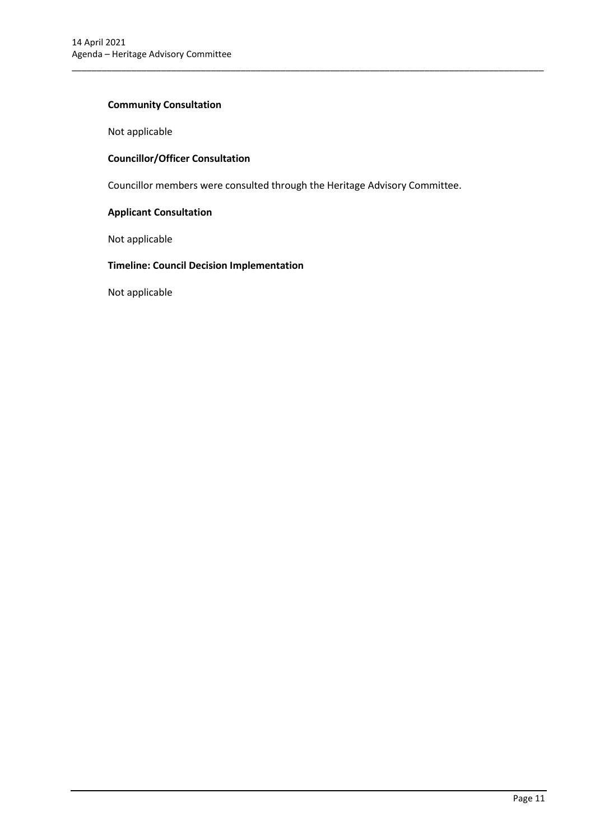## **Community Consultation**

Not applicable

# **Councillor/Officer Consultation**

Councillor members were consulted through the Heritage Advisory Committee.

\_\_\_\_\_\_\_\_\_\_\_\_\_\_\_\_\_\_\_\_\_\_\_\_\_\_\_\_\_\_\_\_\_\_\_\_\_\_\_\_\_\_\_\_\_\_\_\_\_\_\_\_\_\_\_\_\_\_\_\_\_\_\_\_\_\_\_\_\_\_\_\_\_\_\_\_\_\_\_\_\_\_\_\_\_\_\_\_\_\_\_\_\_\_\_

#### **Applicant Consultation**

Not applicable

## **Timeline: Council Decision Implementation**

Not applicable